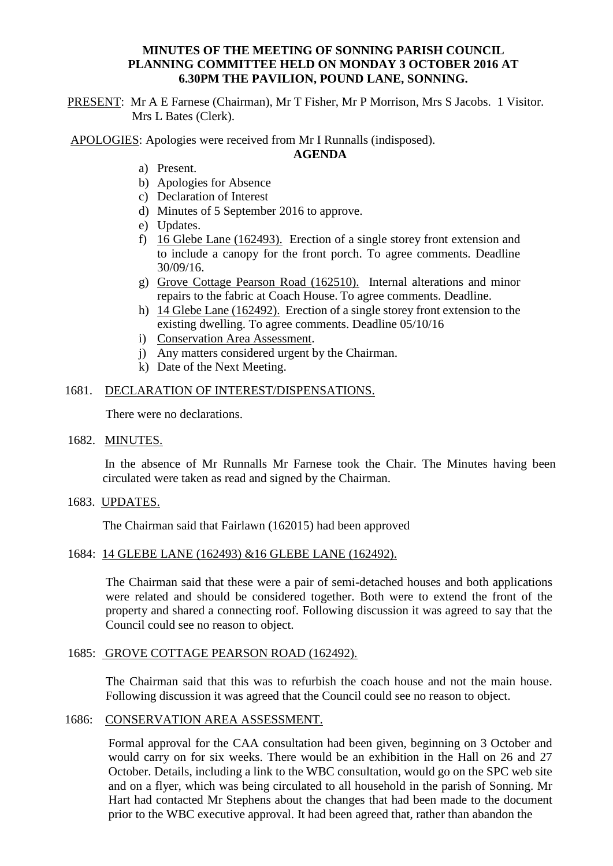#### **MINUTES OF THE MEETING OF SONNING PARISH COUNCIL PLANNING COMMITTEE HELD ON MONDAY 3 OCTOBER 2016 AT 6.30PM THE PAVILION, POUND LANE, SONNING.**

PRESENT: Mr A E Farnese (Chairman), Mr T Fisher, Mr P Morrison, Mrs S Jacobs. 1 Visitor. Mrs L Bates (Clerk).

APOLOGIES: Apologies were received from Mr I Runnalls (indisposed).

## **AGENDA**

- a) Present.
- b) Apologies for Absence
- c) Declaration of Interest
- d) Minutes of 5 September 2016 to approve.
- e) Updates.
- f) 16 Glebe Lane (162493). Erection of a single storey front extension and to include a canopy for the front porch. To agree comments. Deadline 30/09/16.
- g) Grove Cottage Pearson Road (162510). Internal alterations and minor repairs to the fabric at Coach House. To agree comments. Deadline.
- h) 14 Glebe Lane (162492). Erection of a single storey front extension to the existing dwelling. To agree comments. Deadline 05/10/16
- i) Conservation Area Assessment.
- j) Any matters considered urgent by the Chairman.
- k) Date of the Next Meeting.

## 1681. DECLARATION OF INTEREST/DISPENSATIONS.

There were no declarations.

1682. MINUTES.

In the absence of Mr Runnalls Mr Farnese took the Chair. The Minutes having been circulated were taken as read and signed by the Chairman.

1683. UPDATES.

The Chairman said that Fairlawn (162015) had been approved

#### 1684: 14 GLEBE LANE (162493) &16 GLEBE LANE (162492).

The Chairman said that these were a pair of semi-detached houses and both applications were related and should be considered together. Both were to extend the front of the property and shared a connecting roof. Following discussion it was agreed to say that the Council could see no reason to object.

## 1685: GROVE COTTAGE PEARSON ROAD (162492).

The Chairman said that this was to refurbish the coach house and not the main house. Following discussion it was agreed that the Council could see no reason to object.

#### 1686: CONSERVATION AREA ASSESSMENT.

Formal approval for the CAA consultation had been given, beginning on 3 October and would carry on for six weeks. There would be an exhibition in the Hall on 26 and 27 October. Details, including a link to the WBC consultation, would go on the SPC web site and on a flyer, which was being circulated to all household in the parish of Sonning. Mr Hart had contacted Mr Stephens about the changes that had been made to the document prior to the WBC executive approval. It had been agreed that, rather than abandon the